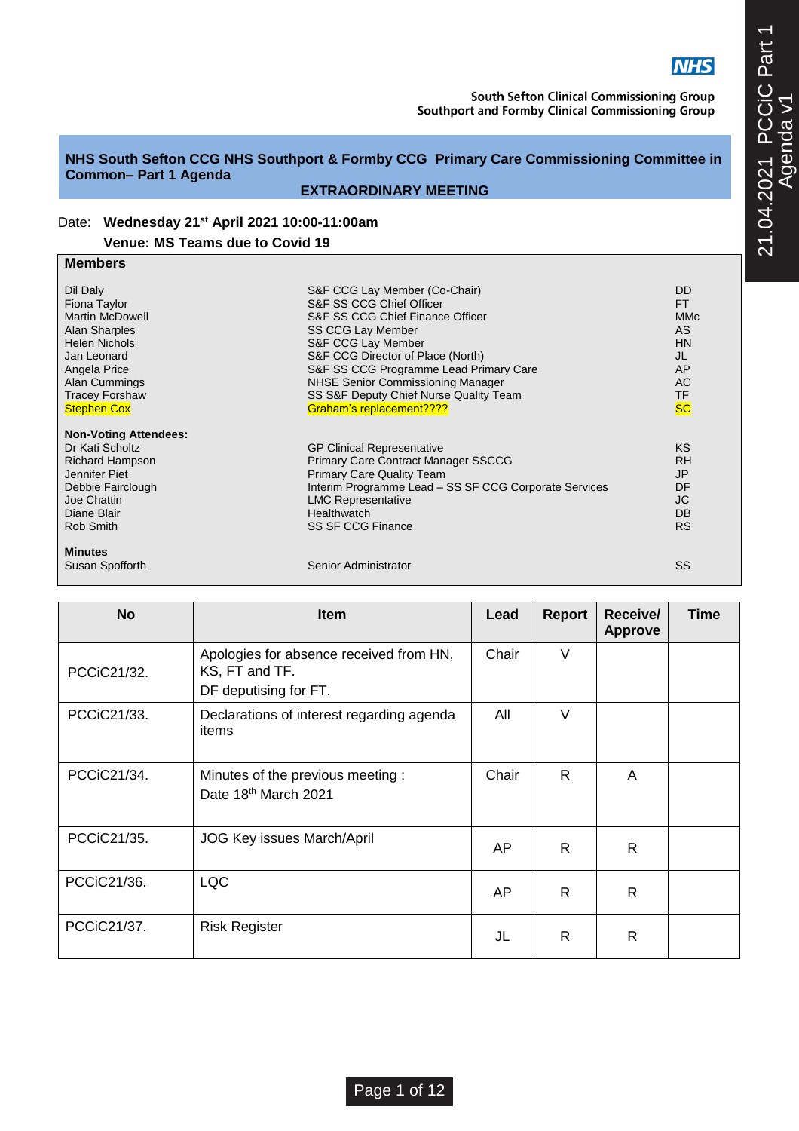DD FT MMc AS HN JL AP AC TF **SC** 

KS RH JP DF JC DB RS

SS

### South Sefton Clinical Commissioning Group Southport and Formby Clinical Commissioning Group

### **NHS South Sefton CCG NHS Southport & Formby CCG Primary Care Commissioning Committee in Common – Part 1 Agenda**

**EXTRAORDINARY MEETING**

S&F CCG Lay Member (Co -Chair) S&F SS CCG Chief Officer S&F SS CCG Chief Finance Officer

S&F CCG Director of Place (North)

Graham's replacement????

GP Clinical Representative

Primary Care Quality Team

S&F SS CCG Programme Lead Primary Care NHSE Senior Commissioning Manager SS S&F Deputy Chief Nurse Quality Team

Primary Care Contract Manager SSCCG

Interim Programme Lead – SS SF CCG Corporate Services

SS CCG Lay Member S&F CCG Lay Member

### Date: **Wednesday 21st April 202 1 10:00 -11: 00am**

**Venue: MS Teams due to Covid 19** 

### **Members** Dil Daly Fiona Taylor Martin McDowell Alan Sharples Helen Nichols Jan Leonard Angela Price Alan Cummings Tracey Forshaw **Stephen Cox Non -Voting Attendees:**

#### Dr Kati Scholtz Richard Hampson Jennifer Piet Debbie Fairclough Joe Chattin Diane Blair Rob Smith

#### **Minutes**

Susan Spofforth

| Senior Administrator |  |
|----------------------|--|
|                      |  |

LMC Representative **Healthwatch** SS SF CCG Finance

| <b>No</b>   | <b>Item</b>                                                                        | Lead  | <b>Report</b> | Receive/<br><b>Approve</b> | <b>Time</b> |
|-------------|------------------------------------------------------------------------------------|-------|---------------|----------------------------|-------------|
| PCCiC21/32. | Apologies for absence received from HN,<br>KS, FT and TF.<br>DF deputising for FT. | Chair | $\vee$        |                            |             |
| PCCiC21/33. | Declarations of interest regarding agenda<br>items                                 | All   | $\vee$        |                            |             |
| PCCiC21/34. | Minutes of the previous meeting:<br>Date 18th March 2021                           | Chair | R.            | A                          |             |
| PCCiC21/35. | <b>JOG Key issues March/April</b>                                                  | AP    | R             | R                          |             |
| PCCiC21/36. | <b>LQC</b>                                                                         | AP    | R             | R                          |             |
| PCCiC21/37. | <b>Risk Register</b>                                                               | JL    | R             | R                          |             |

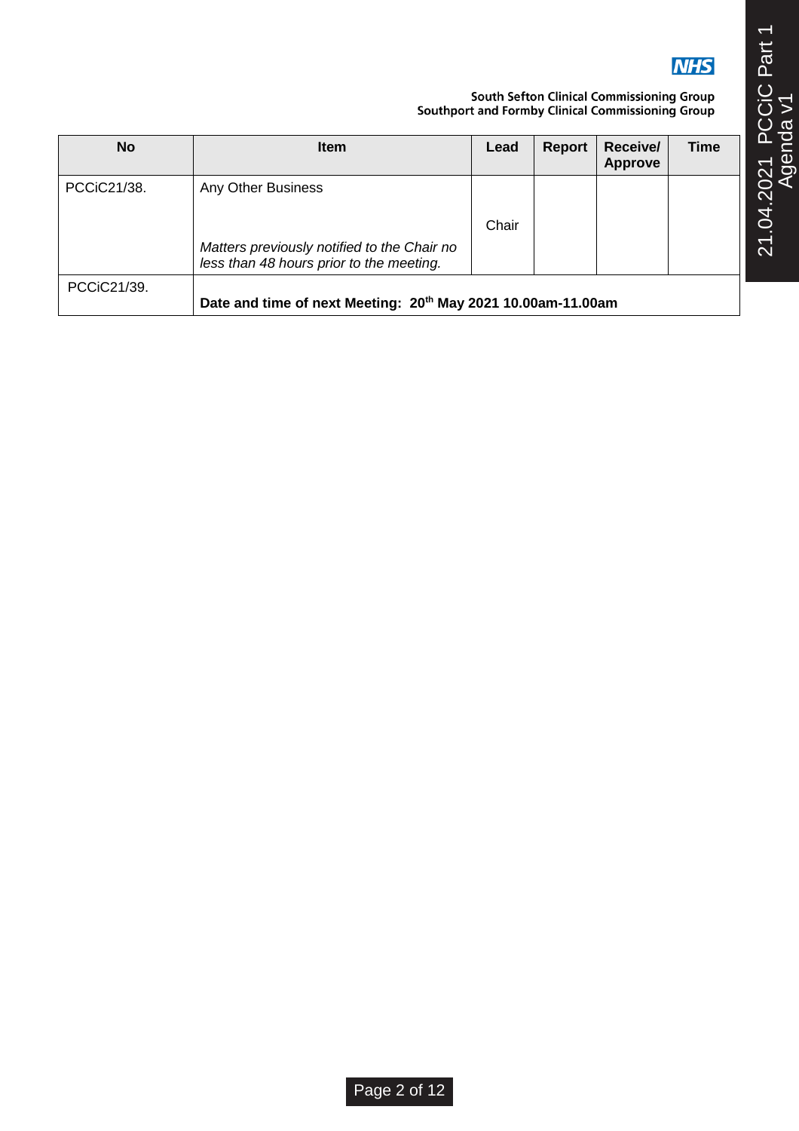# South Sefton Clinical Commissioning Group<br>Southport and Formby Clinical Commissioning Group

| <b>No</b>   | <b>Item</b>                                                                             | Lead  | <b>Report</b> | <b>Receive/</b><br><b>Approve</b> | <b>Time</b> |  |
|-------------|-----------------------------------------------------------------------------------------|-------|---------------|-----------------------------------|-------------|--|
| PCCiC21/38. | Any Other Business                                                                      |       |               |                                   |             |  |
|             |                                                                                         | Chair |               |                                   |             |  |
|             | Matters previously notified to the Chair no<br>less than 48 hours prior to the meeting. |       |               |                                   |             |  |
| PCCiC21/39. |                                                                                         |       |               |                                   |             |  |
|             | Date and time of next Meeting: 20 <sup>th</sup> May 2021 10.00am-11.00am                |       |               |                                   |             |  |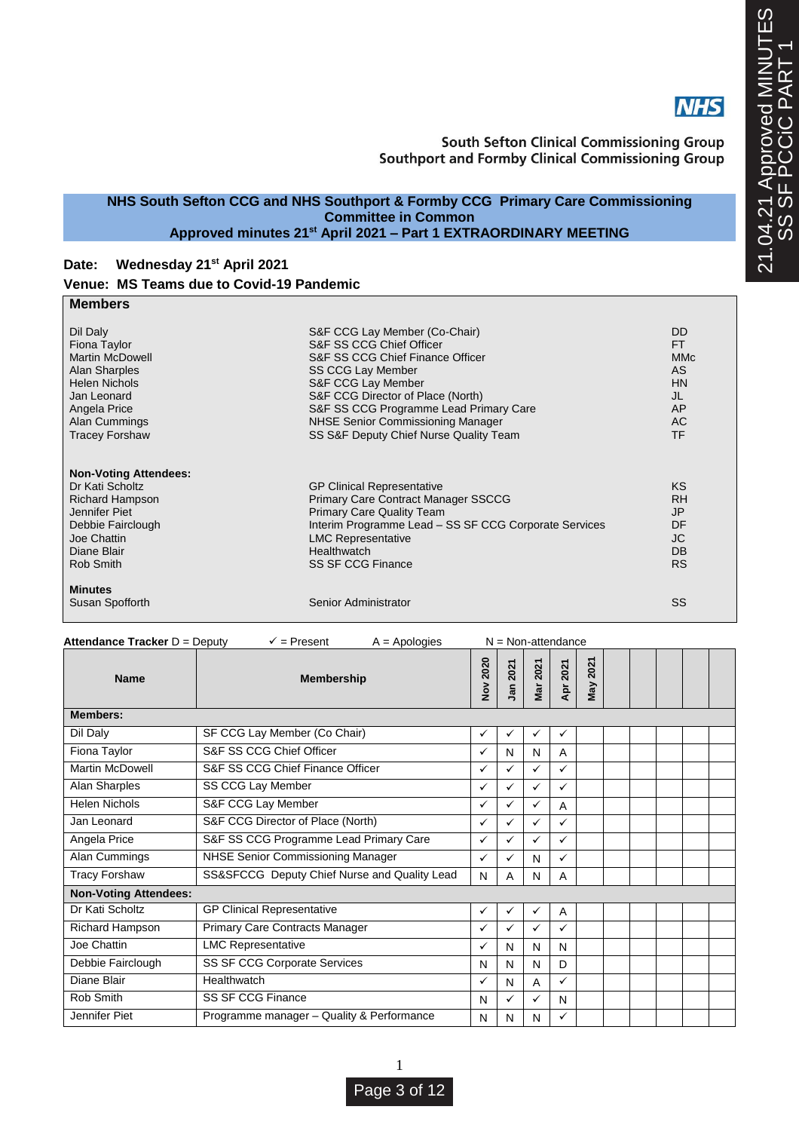## **NHS**

**South Sefton Clinical Commissioning Group** Southport and Formby Clinical Commissioning Group

### **NHS South Sefton CCG and NHS Southport & Formby CCG Primary Care Commissioning Committee in Common Approved minutes 21st April 2021 – Part 1 EXTRAORDINARY MEETING**

### **Date: Wednesday 21st April 2021**

### **Venue: MS Teams due to Covid -19 Pandemic**

| <b>Members</b>                                                                                                                                                              |                                                                                                                                                                                                                                                                                                               |                                                                                   |
|-----------------------------------------------------------------------------------------------------------------------------------------------------------------------------|---------------------------------------------------------------------------------------------------------------------------------------------------------------------------------------------------------------------------------------------------------------------------------------------------------------|-----------------------------------------------------------------------------------|
| Dil Daly<br>Fiona Taylor<br><b>Martin McDowell</b><br><b>Alan Sharples</b><br><b>Helen Nichols</b><br>Jan Leonard<br>Angela Price<br>Alan Cummings<br><b>Tracey Forshaw</b> | S&F CCG Lay Member (Co-Chair)<br>S&F SS CCG Chief Officer<br>S&F SS CCG Chief Finance Officer<br>SS CCG Lay Member<br>S&F CCG Lay Member<br>S&F CCG Director of Place (North)<br>S&F SS CCG Programme Lead Primary Care<br><b>NHSE Senior Commissioning Manager</b><br>SS S&F Deputy Chief Nurse Quality Team | DD.<br>FT.<br><b>MMc</b><br>AS<br><b>HN</b><br>JL<br>AP<br><b>AC</b><br><b>TF</b> |
| <b>Non-Voting Attendees:</b><br>Dr Kati Scholtz<br><b>Richard Hampson</b><br>Jennifer Piet<br>Debbie Fairclough<br>Joe Chattin<br>Diane Blair<br>Rob Smith                  | <b>GP Clinical Representative</b><br>Primary Care Contract Manager SSCCG<br><b>Primary Care Quality Team</b><br>Interim Programme Lead - SS SF CCG Corporate Services<br><b>LMC Representative</b><br><b>Healthwatch</b><br>SS SF CCG Finance                                                                 | <b>KS</b><br><b>RH</b><br><b>JP</b><br>DF<br>JC<br>DB<br><b>RS</b>                |
| <b>Minutes</b><br>Susan Spofforth                                                                                                                                           | Senior Administrator                                                                                                                                                                                                                                                                                          | SS                                                                                |

| <b>Attendance Tracker <math>D = Deputy</math></b> | $\checkmark$ = Present<br>$A = Apologies$    |              |              |          | $N = Non-attention$ |                 |  |  |  |
|---------------------------------------------------|----------------------------------------------|--------------|--------------|----------|---------------------|-----------------|--|--|--|
| <b>Name</b>                                       | <b>Membership</b>                            | Nov 2020     | Jan 2021     | Mar 2021 | Apr 2021            | 2021<br>λã<br>Σ |  |  |  |
| Members:                                          |                                              |              |              |          |                     |                 |  |  |  |
| Dil Daly                                          | SF CCG Lay Member (Co Chair)                 | ✓            | ✓            | ✓        | ✓                   |                 |  |  |  |
| Fiona Taylor                                      | S&F SS CCG Chief Officer                     | ✓            | N            | N        | A                   |                 |  |  |  |
| <b>Martin McDowell</b>                            | S&F SS CCG Chief Finance Officer             | ✓            | ✓            | ✓        | $\checkmark$        |                 |  |  |  |
| Alan Sharples                                     | SS CCG Lay Member                            | $\checkmark$ | $\checkmark$ | ✓        | $\checkmark$        |                 |  |  |  |
| <b>Helen Nichols</b>                              | S&F CCG Lay Member                           | ✓            | $\checkmark$ | ✓        | A                   |                 |  |  |  |
| Jan Leonard                                       | S&F CCG Director of Place (North)            | $\checkmark$ | $\checkmark$ | ✓        | ✓                   |                 |  |  |  |
| Angela Price                                      | S&F SS CCG Programme Lead Primary Care       | $\checkmark$ | $\checkmark$ | ✓        | $\checkmark$        |                 |  |  |  |
| Alan Cummings                                     | <b>NHSE Senior Commissioning Manager</b>     | $\checkmark$ | ✓            | N        | ✓                   |                 |  |  |  |
| <b>Tracy Forshaw</b>                              | SS&SFCCG Deputy Chief Nurse and Quality Lead | N            | A            | N        | A                   |                 |  |  |  |
| <b>Non-Voting Attendees:</b>                      |                                              |              |              |          |                     |                 |  |  |  |
| Dr Kati Scholtz                                   | <b>GP Clinical Representative</b>            | ✓            | ✓            | ✓        | A                   |                 |  |  |  |
| <b>Richard Hampson</b>                            | Primary Care Contracts Manager               | ✓            | $\checkmark$ | ✓        | ✓                   |                 |  |  |  |
| Joe Chattin                                       | <b>LMC Representative</b>                    | $\checkmark$ | N            | N        | N                   |                 |  |  |  |
| Debbie Fairclough                                 | SS SF CCG Corporate Services                 | N            | N            | N        | D                   |                 |  |  |  |
| Diane Blair                                       | Healthwatch                                  | $\checkmark$ | N            | A        | $\checkmark$        |                 |  |  |  |
| Rob Smith                                         | <b>SS SF CCG Finance</b>                     | N            | $\checkmark$ | ✓        | N                   |                 |  |  |  |
| Jennifer Piet                                     | Programme manager - Quality & Performance    | N            | N            | N        | $\checkmark$        |                 |  |  |  |

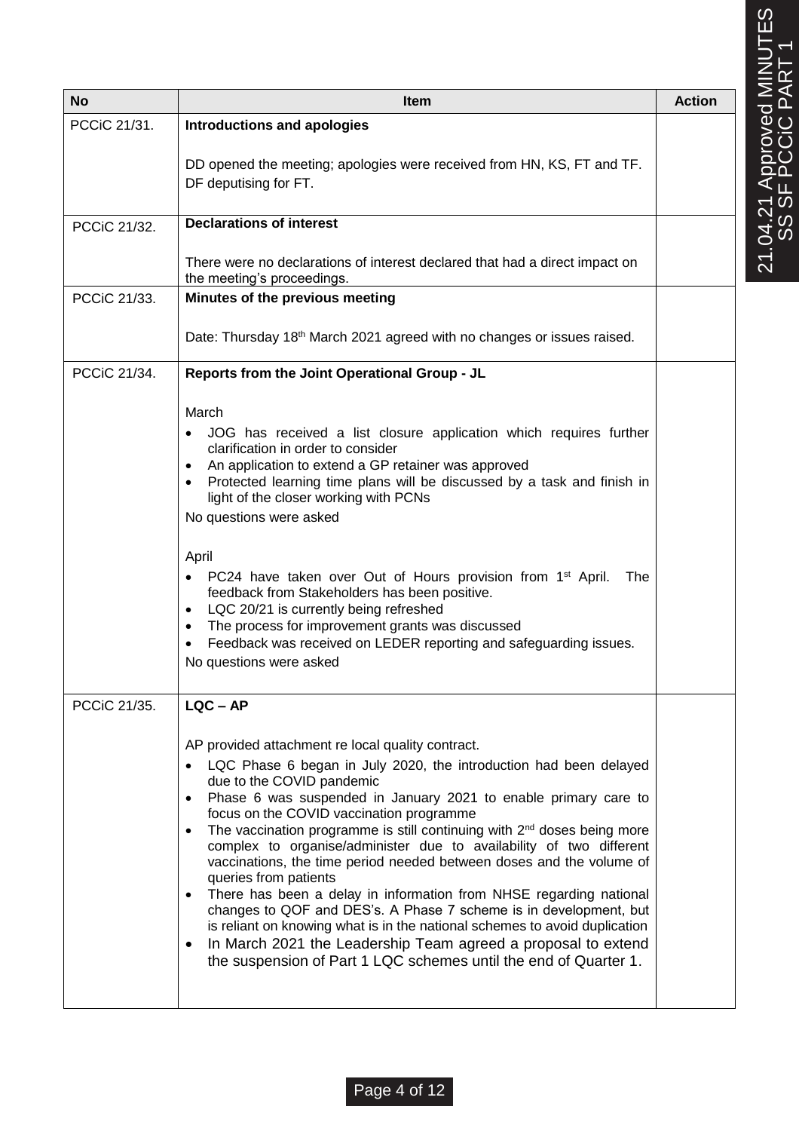21.04.21 Approved MINUTES<br>SS SF PCCIC PART 1 21.04.21 Approved MINUTES SS SF PCCiC PART 1

| <b>No</b>    | <b>Item</b>                                                                                                                                                                                                                                                                                                                                                                                                                                                                                                                                                                           | <b>Action</b> |
|--------------|---------------------------------------------------------------------------------------------------------------------------------------------------------------------------------------------------------------------------------------------------------------------------------------------------------------------------------------------------------------------------------------------------------------------------------------------------------------------------------------------------------------------------------------------------------------------------------------|---------------|
| PCCiC 21/31. | <b>Introductions and apologies</b>                                                                                                                                                                                                                                                                                                                                                                                                                                                                                                                                                    |               |
|              | DD opened the meeting; apologies were received from HN, KS, FT and TF.<br>DF deputising for FT.                                                                                                                                                                                                                                                                                                                                                                                                                                                                                       |               |
| PCCiC 21/32. | <b>Declarations of interest</b>                                                                                                                                                                                                                                                                                                                                                                                                                                                                                                                                                       |               |
|              | There were no declarations of interest declared that had a direct impact on<br>the meeting's proceedings.                                                                                                                                                                                                                                                                                                                                                                                                                                                                             |               |
| PCCiC 21/33. | Minutes of the previous meeting                                                                                                                                                                                                                                                                                                                                                                                                                                                                                                                                                       |               |
|              | Date: Thursday 18 <sup>th</sup> March 2021 agreed with no changes or issues raised.                                                                                                                                                                                                                                                                                                                                                                                                                                                                                                   |               |
| PCCiC 21/34. | Reports from the Joint Operational Group - JL                                                                                                                                                                                                                                                                                                                                                                                                                                                                                                                                         |               |
|              | March<br>JOG has received a list closure application which requires further<br>clarification in order to consider<br>An application to extend a GP retainer was approved<br>Protected learning time plans will be discussed by a task and finish in<br>$\bullet$<br>light of the closer working with PCNs<br>No questions were asked<br>April<br>• PC24 have taken over Out of Hours provision from 1 <sup>st</sup> April.<br>The<br>feedback from Stakeholders has been positive.<br>LQC 20/21 is currently being refreshed<br>The process for improvement grants was discussed<br>٠ |               |
|              | Feedback was received on LEDER reporting and safeguarding issues.<br>٠<br>No questions were asked                                                                                                                                                                                                                                                                                                                                                                                                                                                                                     |               |
|              |                                                                                                                                                                                                                                                                                                                                                                                                                                                                                                                                                                                       |               |
| PCCiC 21/35. | $LQC - AP$                                                                                                                                                                                                                                                                                                                                                                                                                                                                                                                                                                            |               |
|              | AP provided attachment re local quality contract.                                                                                                                                                                                                                                                                                                                                                                                                                                                                                                                                     |               |
|              | LQC Phase 6 began in July 2020, the introduction had been delayed<br>due to the COVID pandemic<br>Phase 6 was suspended in January 2021 to enable primary care to<br>٠<br>focus on the COVID vaccination programme<br>The vaccination programme is still continuing with 2 <sup>nd</sup> doses being more<br>$\bullet$                                                                                                                                                                                                                                                                |               |
|              | complex to organise/administer due to availability of two different<br>vaccinations, the time period needed between doses and the volume of<br>queries from patients<br>There has been a delay in information from NHSE regarding national<br>$\bullet$                                                                                                                                                                                                                                                                                                                               |               |
|              | changes to QOF and DES's. A Phase 7 scheme is in development, but<br>is reliant on knowing what is in the national schemes to avoid duplication<br>In March 2021 the Leadership Team agreed a proposal to extend<br>$\bullet$<br>the suspension of Part 1 LQC schemes until the end of Quarter 1.                                                                                                                                                                                                                                                                                     |               |
|              |                                                                                                                                                                                                                                                                                                                                                                                                                                                                                                                                                                                       |               |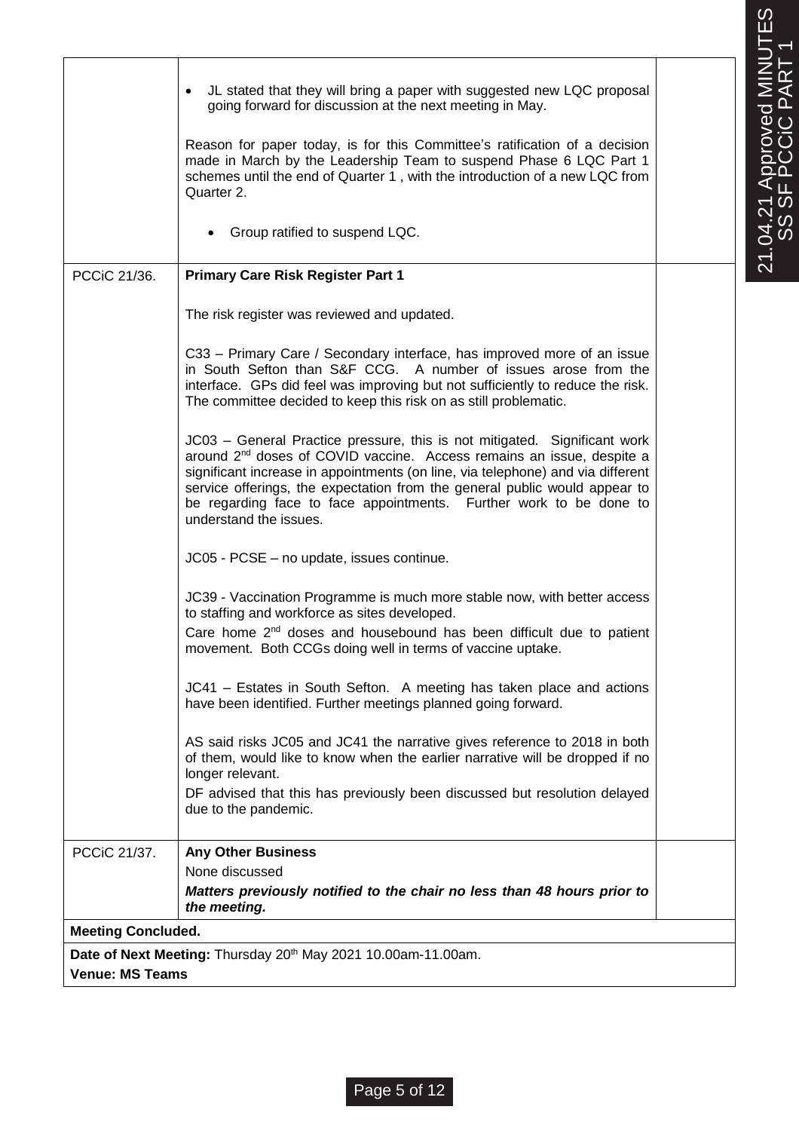|                           | JL stated that they will bring a paper with suggested new LQC proposal<br>$\bullet$<br>going forward for discussion at the next meeting in May.                                                                                                                                                                                                                                                                                 |  |  |  |  |
|---------------------------|---------------------------------------------------------------------------------------------------------------------------------------------------------------------------------------------------------------------------------------------------------------------------------------------------------------------------------------------------------------------------------------------------------------------------------|--|--|--|--|
|                           | Reason for paper today, is for this Committee's ratification of a decision<br>made in March by the Leadership Team to suspend Phase 6 LQC Part 1<br>schemes until the end of Quarter 1, with the introduction of a new LQC from<br>Quarter 2.                                                                                                                                                                                   |  |  |  |  |
|                           | Group ratified to suspend LQC.                                                                                                                                                                                                                                                                                                                                                                                                  |  |  |  |  |
| PCCiC 21/36.              | <b>Primary Care Risk Register Part 1</b>                                                                                                                                                                                                                                                                                                                                                                                        |  |  |  |  |
|                           | The risk register was reviewed and updated.                                                                                                                                                                                                                                                                                                                                                                                     |  |  |  |  |
|                           | C33 – Primary Care / Secondary interface, has improved more of an issue<br>in South Sefton than S&F CCG. A number of issues arose from the<br>interface. GPs did feel was improving but not sufficiently to reduce the risk.<br>The committee decided to keep this risk on as still problematic.                                                                                                                                |  |  |  |  |
|                           | JC03 - General Practice pressure, this is not mitigated. Significant work<br>around 2 <sup>nd</sup> doses of COVID vaccine. Access remains an issue, despite a<br>significant increase in appointments (on line, via telephone) and via different<br>service offerings, the expectation from the general public would appear to<br>be regarding face to face appointments. Further work to be done to<br>understand the issues. |  |  |  |  |
|                           | JC05 - PCSE - no update, issues continue.                                                                                                                                                                                                                                                                                                                                                                                       |  |  |  |  |
|                           | JC39 - Vaccination Programme is much more stable now, with better access<br>to staffing and workforce as sites developed.<br>Care home 2 <sup>nd</sup> doses and housebound has been difficult due to patient<br>movement. Both CCGs doing well in terms of vaccine uptake.                                                                                                                                                     |  |  |  |  |
|                           | JC41 – Estates in South Sefton. A meeting has taken place and actions<br>have been identified. Further meetings planned going forward.                                                                                                                                                                                                                                                                                          |  |  |  |  |
|                           | AS said risks JC05 and JC41 the narrative gives reference to 2018 in both<br>of them, would like to know when the earlier narrative will be dropped if no<br>longer relevant.<br>DF advised that this has previously been discussed but resolution delayed                                                                                                                                                                      |  |  |  |  |
|                           | due to the pandemic.                                                                                                                                                                                                                                                                                                                                                                                                            |  |  |  |  |
| PCCiC 21/37.              | <b>Any Other Business</b><br>None discussed<br>Matters previously notified to the chair no less than 48 hours prior to<br>the meeting.                                                                                                                                                                                                                                                                                          |  |  |  |  |
| <b>Meeting Concluded.</b> |                                                                                                                                                                                                                                                                                                                                                                                                                                 |  |  |  |  |
|                           | Date of Next Meeting: Thursday 20 <sup>th</sup> May 2021 10.00am-11.00am.                                                                                                                                                                                                                                                                                                                                                       |  |  |  |  |
| <b>Venue: MS Teams</b>    |                                                                                                                                                                                                                                                                                                                                                                                                                                 |  |  |  |  |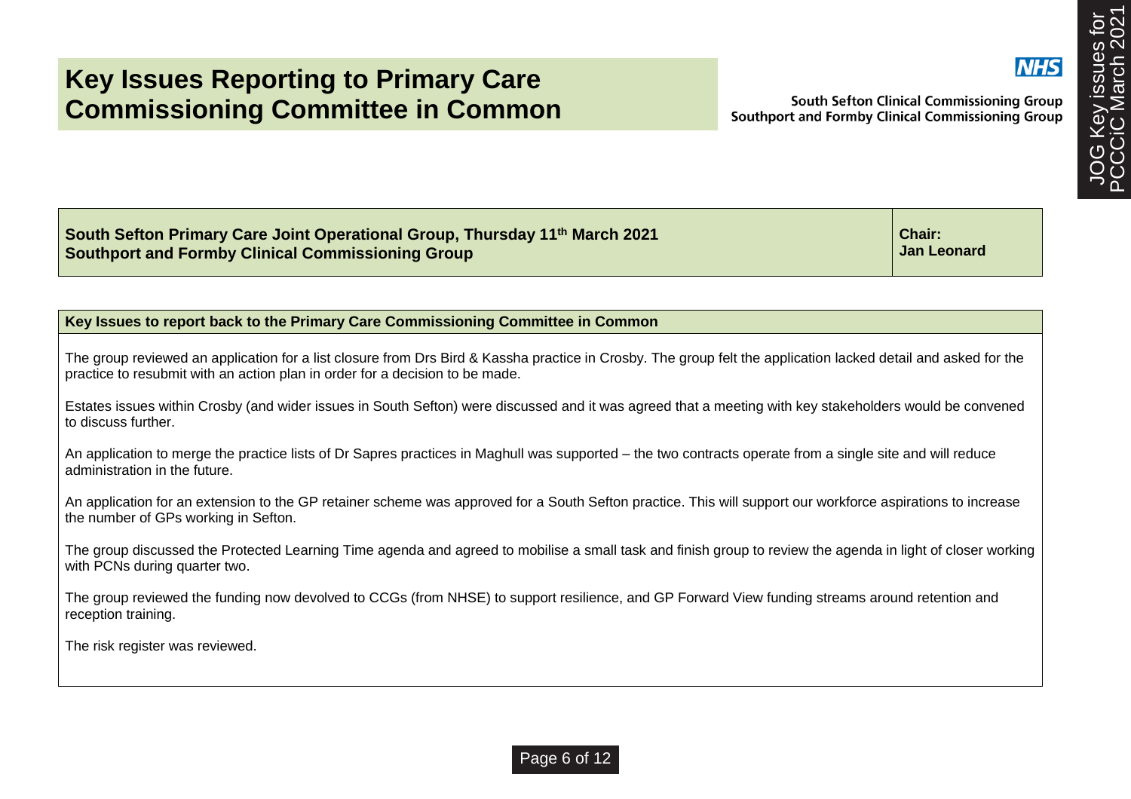JOG Key issues for PCCCiC March 2021

## **Key Issues Reporting to Primary Care Commissioning Committee in Common**

South Sefton Clinical Commissioning Group Southport and Formby Clinical Commissioning Group

**South Sefton Primary Care Joint Operational Group, Thursday 11th March <sup>2021</sup> Southport and Formby Clinical Commissioning Group**

**Chair: Jan Leonard**

### **Key Issues to report back to the Primary Care Commissioning Committee in Common**

The group reviewed an application for a list closure from Drs Bird & Kassha practice in Crosby. The group felt the application lacked detail and asked for the practice to resubmit with an action plan in order for a decision to be made.

Estates issues within Crosby (and wider issues in South Sefton) were discussed and it was agreed that a meeting with key stakeholders would be convened to discuss further.

An application to merge the practice lists of Dr Sapres practices in Maghull was supported – the two contracts operate from a single site and will reduce administration in the future.

An application for an extension to the GP retainer scheme was approved for a South Sefton practice. This will support our workforce aspirations to increase the number of GPs working in Sefton.

The group discussed the Protected Learning Time agenda and agreed to mobilise a small task and finish group to review the agenda in light of closer working with PCNs during quarter two.

The group reviewed the funding now devolved to CCGs (from NHSE) to support resilience, and GP Forward View funding streams around retention and reception training.

The risk register was reviewed.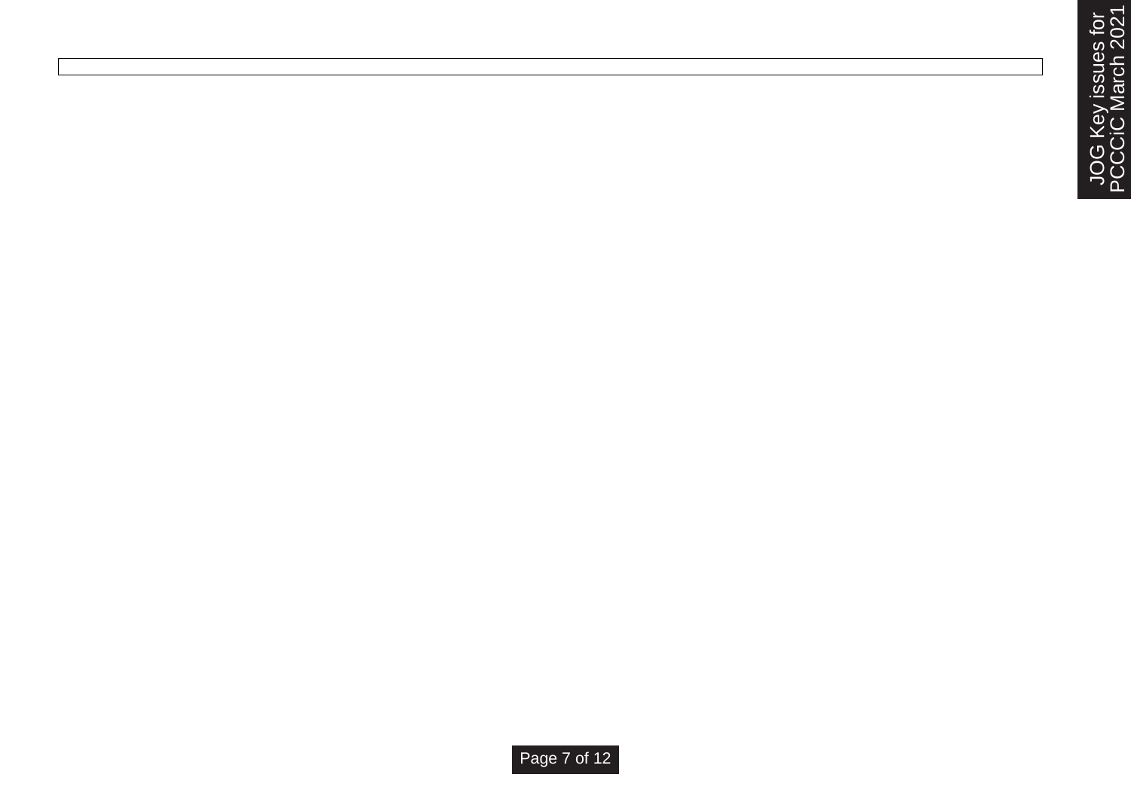Page 7 of 12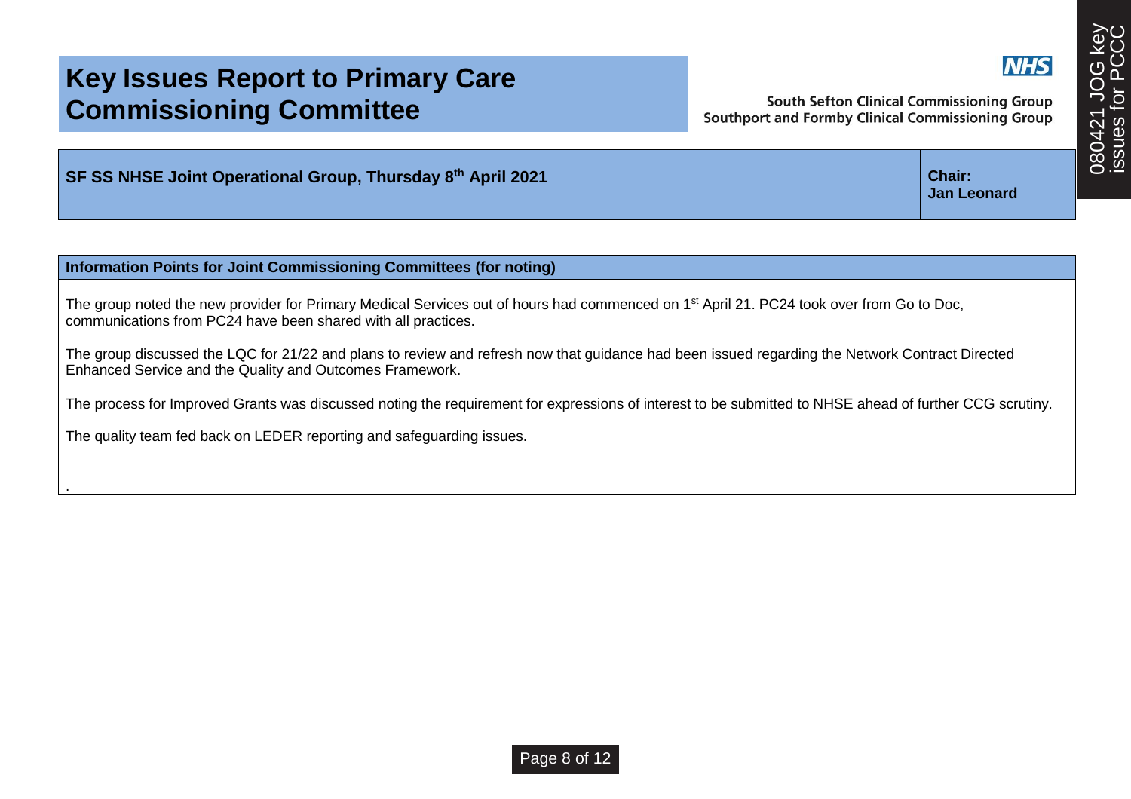## **Key Issues Report to Primary Care Commissioning Committee**

**South Sefton Clinical Commissioning Group** Southport and Formby Clinical Commissioning Group

**SF SS NHSE Joint Operational Group, Thursday 8th April 2021Chair:** 

**Information Points for Joint Commissioning Committees (for noting)**

The group noted the new provider for Primary Medical Services out of hours had commenced on 1<sup>st</sup> April 21. PC24 took over from Go to Doc, communications from PC24 have been shared with all practices.

The group discussed the LQC for 21/22 and plans to review and refresh now that guidance had been issued regarding the Network Contract Directed Enhanced Service and the Quality and Outcomes Framework.

The process for Improved Grants was discussed noting the requirement for expressions of interest to be submitted to NHSE ahead of further CCG scrutiny.

The quality team fed back on LEDER reporting and safeguarding issues.

Page 8 of 12

### **NHS**

**Jan Leonard**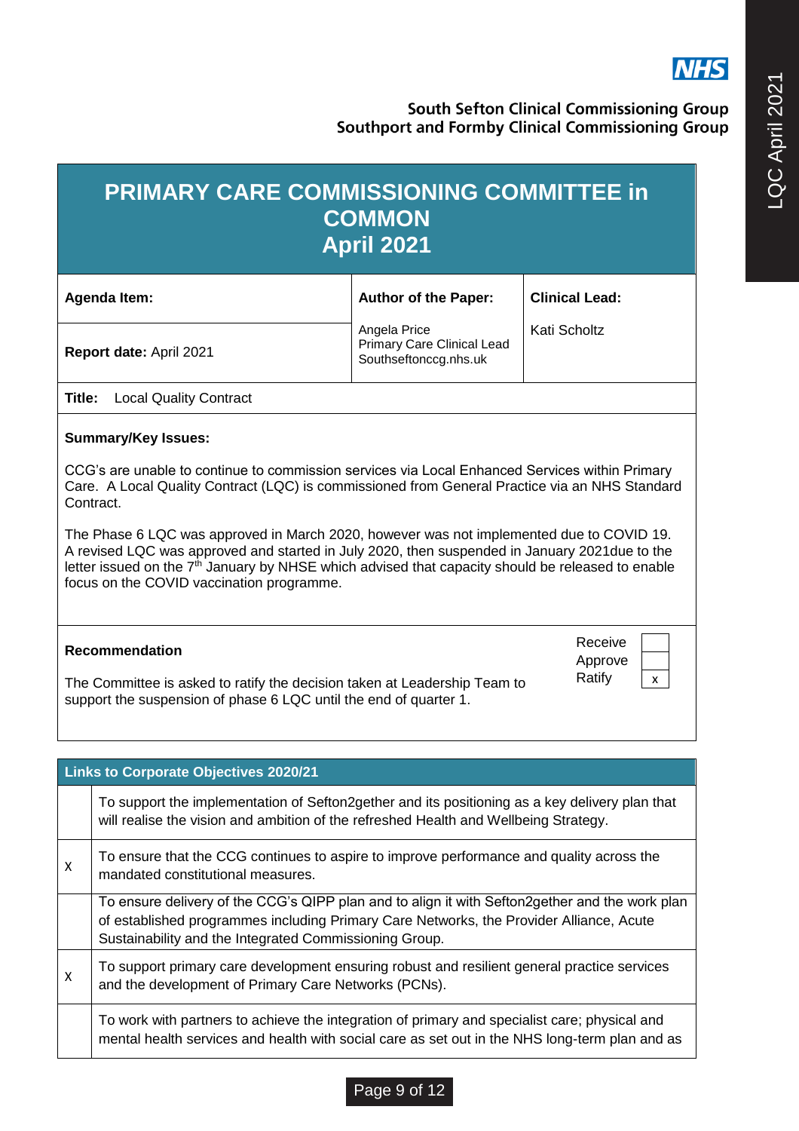

## **PRIMARY CARE COMMISSIONING COMMITTEE in COMMON April 2021**

| Agenda Item:            | <b>Author of the Paper:</b>                                         | <b>Clinical Lead:</b> |
|-------------------------|---------------------------------------------------------------------|-----------------------|
| Report date: April 2021 | Angela Price<br>Primary Care Clinical Lead<br>Southseftonccg.nhs.uk | Kati Scholtz          |

**Title:** Local Quality Contract

### **Summary/Key Issues:**

CCG's are unable to continue to commission services via Local Enhanced Services within Primary Care. A Local Quality Contract (LQC) is commissioned from General Practice via an NHS Standard Contract.

The Phase 6 LQC was approved in March 2020, however was not implemented due to COVID 19. A revised LQC was approved and started in July 2020, then suspended in January 2021due to the letter issued on the  $7<sup>th</sup>$  January by NHSE which advised that capacity should be released to enable focus on the COVID vaccination programme.

**Recommendation**

The Committee is asked to ratify the decision taken at Leadership Team to support the suspension of phase 6 LQC until the end of quarter 1.

| Receive |  |
|---------|--|
| Approve |  |
| Ratifv  |  |

|   | Links to Corporate Objectives 2020/21                                                                                                                                                                                                               |  |  |  |  |  |
|---|-----------------------------------------------------------------------------------------------------------------------------------------------------------------------------------------------------------------------------------------------------|--|--|--|--|--|
|   | To support the implementation of Sefton2gether and its positioning as a key delivery plan that<br>will realise the vision and ambition of the refreshed Health and Wellbeing Strategy.                                                              |  |  |  |  |  |
| X | To ensure that the CCG continues to aspire to improve performance and quality across the<br>mandated constitutional measures.                                                                                                                       |  |  |  |  |  |
|   | To ensure delivery of the CCG's QIPP plan and to align it with Sefton2gether and the work plan<br>of established programmes including Primary Care Networks, the Provider Alliance, Acute<br>Sustainability and the Integrated Commissioning Group. |  |  |  |  |  |
| X | To support primary care development ensuring robust and resilient general practice services<br>and the development of Primary Care Networks (PCNs).                                                                                                 |  |  |  |  |  |
|   | To work with partners to achieve the integration of primary and specialist care; physical and<br>mental health services and health with social care as set out in the NHS long-term plan and as                                                     |  |  |  |  |  |

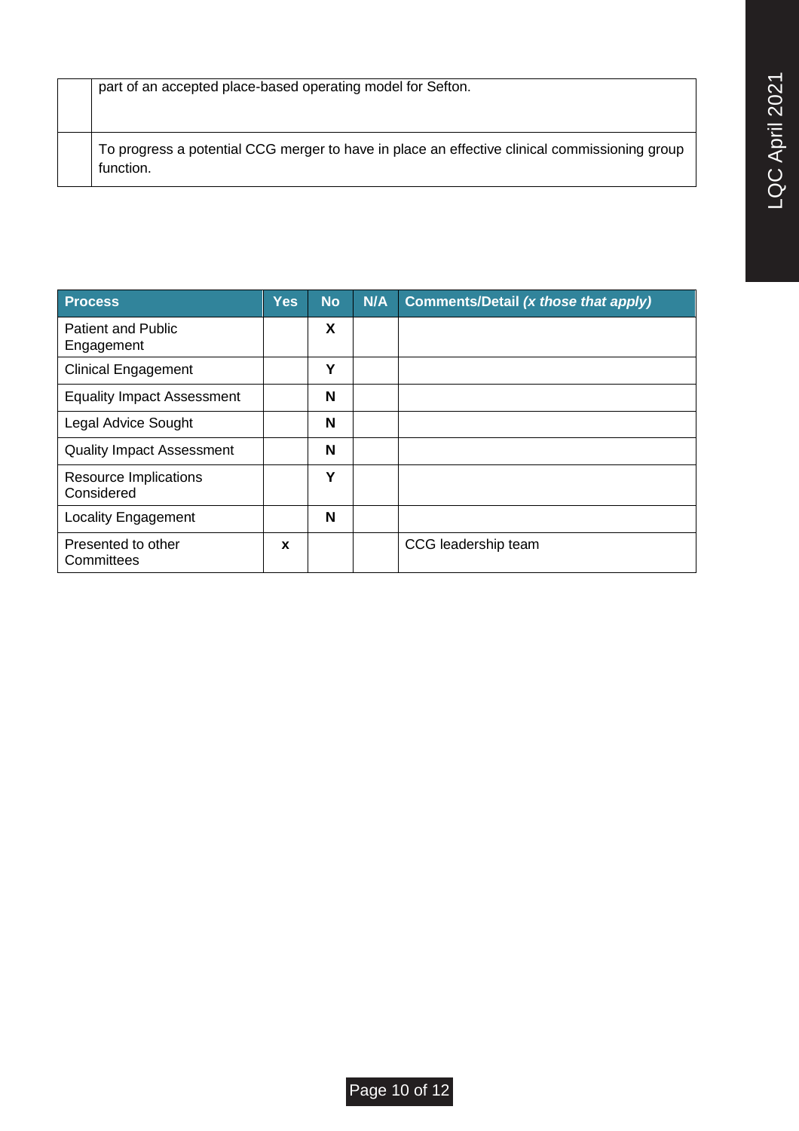part of an accepted place-based operating model for Sefton.

To progress a potential CCG merger to have in place an effective clinical commissioning group function.

| <b>Process</b>                             | <b>Yes</b> | <b>No</b> | N/A | <b>Comments/Detail (x those that apply)</b> |
|--------------------------------------------|------------|-----------|-----|---------------------------------------------|
| <b>Patient and Public</b><br>Engagement    |            | X         |     |                                             |
| <b>Clinical Engagement</b>                 |            | Υ         |     |                                             |
| <b>Equality Impact Assessment</b>          |            | N         |     |                                             |
| Legal Advice Sought                        |            | N         |     |                                             |
| <b>Quality Impact Assessment</b>           |            | N         |     |                                             |
| <b>Resource Implications</b><br>Considered |            | Υ         |     |                                             |
| Locality Engagement                        |            | N         |     |                                             |
| Presented to other<br>Committees           | X          |           |     | CCG leadership team                         |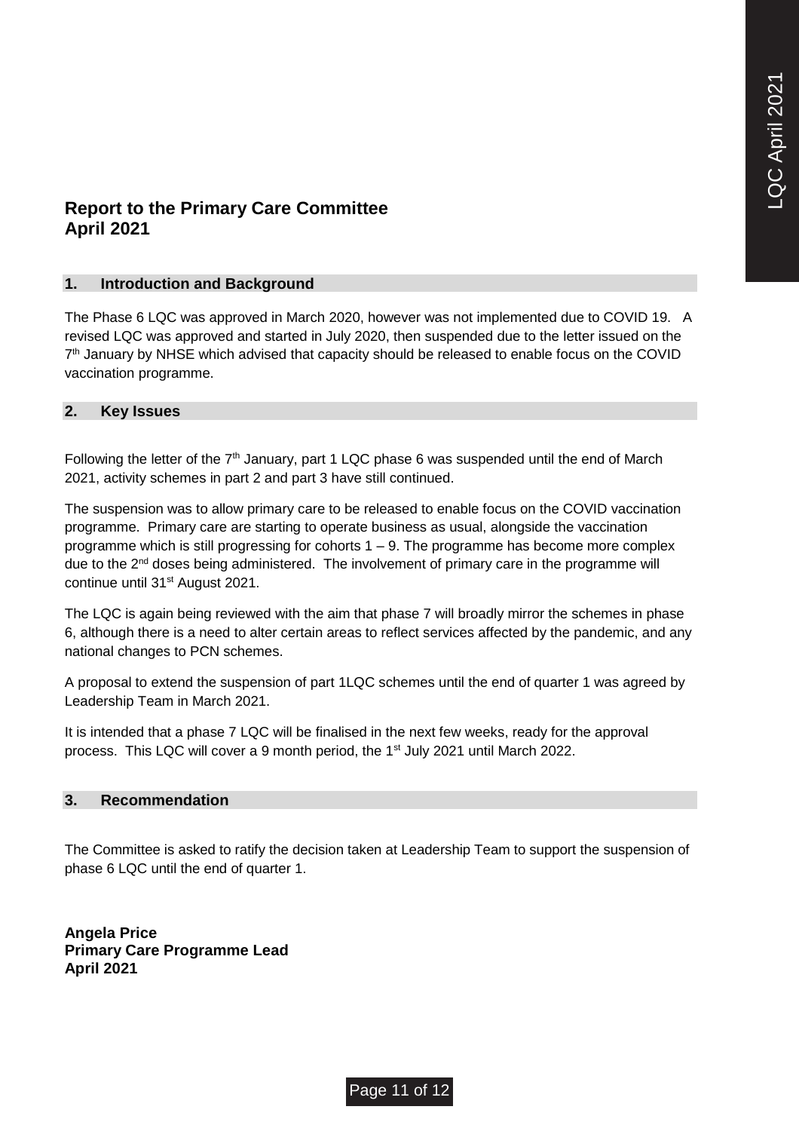### **Report to the Primary Care Committee April 2021**

### **1. Introduction and Background**

The Phase 6 LQC was approved in March 2020, however was not implemented due to COVID 19. A revised LQC was approved and started in July 2020, then suspended due to the letter issued on the 7<sup>th</sup> January by NHSE which advised that capacity should be released to enable focus on the COVID vaccination programme.

### **2. Key Issues**

Following the letter of the 7th January, part 1 LQC phase 6 was suspended until the end of March 2021, activity schemes in part 2 and part 3 have still continued.

The suspension was to allow primary care to be released to enable focus on the COVID vaccination programme. Primary care are starting to operate business as usual, alongside the vaccination programme which is still progressing for cohorts  $1 - 9$ . The programme has become more complex due to the 2<sup>nd</sup> doses being administered. The involvement of primary care in the programme will continue until 31<sup>st</sup> August 2021.

The LQC is again being reviewed with the aim that phase 7 will broadly mirror the schemes in phase 6, although there is a need to alter certain areas to reflect services affected by the pandemic, and any national changes to PCN schemes.

A proposal to extend the suspension of part 1LQC schemes until the end of quarter 1 was agreed by Leadership Team in March 2021.

It is intended that a phase 7 LQC will be finalised in the next few weeks, ready for the approval process. This LQC will cover a 9 month period, the 1st July 2021 until March 2022.

### **3. Recommendation**

The Committee is asked to ratify the decision taken at Leadership Team to support the suspension of phase 6 LQC until the end of quarter 1.

**Angela Price Primary Care Programme Lead April 2021**